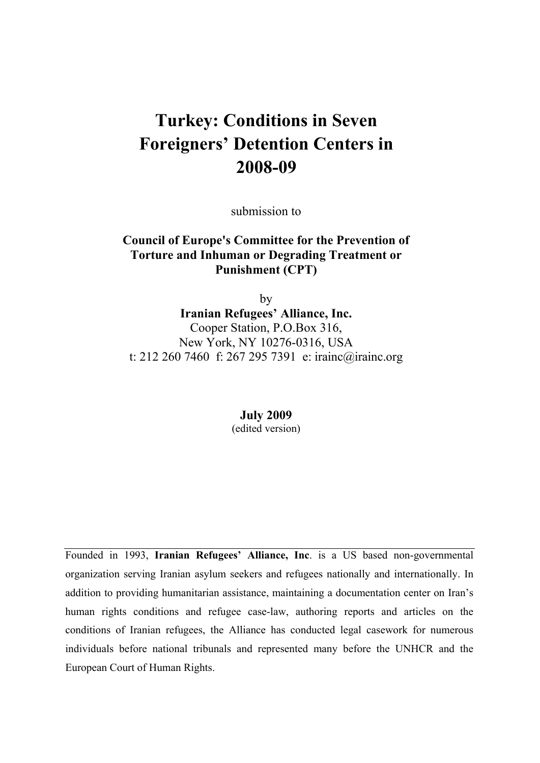# **Turkey: Conditions in Seven Foreigners' Detention Centers in 2008-09**

submission to

#### **Council of Europe's Committee for the Prevention of Torture and Inhuman or Degrading Treatment or Punishment (CPT)**

by **Iranian Refugees' Alliance, Inc.**  Cooper Station, P.O.Box 316, New York, NY 10276-0316, USA t: 212 260 7460 f: 267 295 7391 e: irainc@irainc.org

> **July 2009**  (edited version)

Founded in 1993, **Iranian Refugees' Alliance, Inc**. is a US based non-governmental organization serving Iranian asylum seekers and refugees nationally and internationally. In addition to providing humanitarian assistance, maintaining a documentation center on Iran's human rights conditions and refugee case-law, authoring reports and articles on the conditions of Iranian refugees, the Alliance has conducted legal casework for numerous individuals before national tribunals and represented many before the UNHCR and the European Court of Human Rights.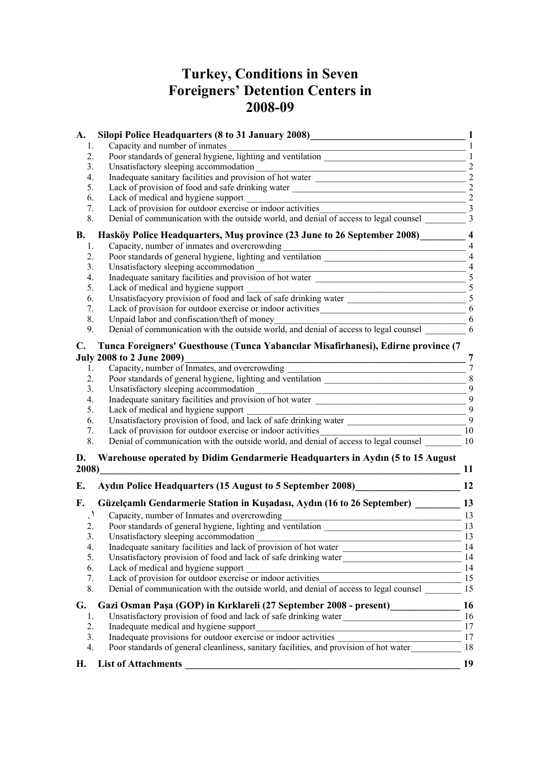# **Turkey, Conditions in Seven Foreigners' Detention Centers in 2008-09**

| A.             | Silopi Police Headquarters (8 to 31 January 2008)<br>Capacity and number of inmates                                                                                                                                                                                                                | 1<br>$\mathbf{1}$       |
|----------------|----------------------------------------------------------------------------------------------------------------------------------------------------------------------------------------------------------------------------------------------------------------------------------------------------|-------------------------|
| 1.<br>2.       |                                                                                                                                                                                                                                                                                                    | $\mathbf{1}$            |
| 3.             |                                                                                                                                                                                                                                                                                                    | $\overline{2}$          |
| 4.             | Inadequate sanitary facilities and provision of hot water                                                                                                                                                                                                                                          | $\sqrt{2}$              |
| 5.             | Lack of provision of food and safe drinking water _______________________________                                                                                                                                                                                                                  | $\overline{2}$          |
| 6.             |                                                                                                                                                                                                                                                                                                    | $\overline{2}$          |
| 7.             | Lack of medical and hygiene support<br>Lack of provision for outdoor exercise or indoor activities                                                                                                                                                                                                 | $\overline{\mathbf{3}}$ |
| 8.             | Denial of communication with the outside world, and denial of access to legal counsel 3                                                                                                                                                                                                            |                         |
|                |                                                                                                                                                                                                                                                                                                    |                         |
| <b>B.</b>      | Hasköy Police Headquarters, Mus province (23 June to 26 September 2008)                                                                                                                                                                                                                            | $\overline{\mathbf{4}}$ |
| 1.             | Capacity, number of inmates and overcrowding                                                                                                                                                                                                                                                       | $\overline{4}$          |
| 2.             | Capacity, number of inmates and overcrowding<br>Poor standards of general hygiene, lighting and ventilation                                                                                                                                                                                        | $\overline{4}$          |
| 3.             | Unsatisfactory sleeping accommodation<br>Unsatisfactory sleeping accommodation<br>Inadequate sanitary facilities and provision of hot water                                                                                                                                                        | $\overline{4}$          |
| 4.             |                                                                                                                                                                                                                                                                                                    | 5                       |
| 5.             | Lack of medical and hygiene support                                                                                                                                                                                                                                                                | 5                       |
| 6.             | Lack of medical and hygiene support<br>Unsatisfacyory provision of food and lack of safe drinking water                                                                                                                                                                                            |                         |
| 7.             |                                                                                                                                                                                                                                                                                                    |                         |
| 8.             | Unpaid labor and confiscation/theft of money                                                                                                                                                                                                                                                       |                         |
| 9.             |                                                                                                                                                                                                                                                                                                    |                         |
| $\mathbf{C}$ . | Tunca Foreigners' Guesthouse (Tunca Yabancılar Misafirhanesi), Edirne province (7                                                                                                                                                                                                                  |                         |
|                | <b>July 2008 to 2 June 2009)</b>                                                                                                                                                                                                                                                                   | 7                       |
| 1.             | Capacity, number of Inmates, and overcrowding ___________________________________                                                                                                                                                                                                                  | $7\phantom{.0}$         |
| 2.             | Poor standards of general hygiene, lighting and ventilation                                                                                                                                                                                                                                        | $\, 8$                  |
| 3.             | Unsatisfactory sleeping accommodation                                                                                                                                                                                                                                                              | 9                       |
| 4.             | <u> 1989 - Johann John Stone, market fan it ferstjer fan it ferstjer fan it ferstjer fan it ferstjer fan it fers</u>                                                                                                                                                                               | 9                       |
| 5.             | Lack of medical and hygiene support                                                                                                                                                                                                                                                                | 9                       |
| 6.             | the control of the control of the control of the control of the control of the control of the control of the control of the control of the control of the control of the control of the control of the control of the control<br>Unsatisfactory provision of food, and lack of safe drinking water | 9                       |
| 7.             | Lack of provision for outdoor exercise or indoor activities                                                                                                                                                                                                                                        | 10                      |
| 8.             | Denial of communication with the outside world, and denial of access to legal counsel 10                                                                                                                                                                                                           |                         |
|                |                                                                                                                                                                                                                                                                                                    |                         |
| D.             | Warehouse operated by Didim Gendarmerie Headquarters in Aydın (5 to 15 August                                                                                                                                                                                                                      |                         |
| 2008)          |                                                                                                                                                                                                                                                                                                    | 11                      |
| Е.             | Aydın Police Headquarters (15 August to 5 September 2008)                                                                                                                                                                                                                                          | 12                      |
|                |                                                                                                                                                                                                                                                                                                    |                         |
| F.             | Güzelçamlı Gendarmerie Station in Kuşadası, Aydın (16 to 26 September)                                                                                                                                                                                                                             | 13                      |
|                | Capacity, number of Inmates and overcrowding                                                                                                                                                                                                                                                       | 13                      |
| 2.             | Poor standards of general hygiene, lighting and ventilation                                                                                                                                                                                                                                        | 13                      |
| 3.             |                                                                                                                                                                                                                                                                                                    |                         |
| 4.             | Inadequate sanitary facilities and lack of provision of hot water 14<br>Unsatisfactory provision of food and lack of safe drinking unter                                                                                                                                                           |                         |
| 5.             | Unsatisfactory provision of food and lack of safe drinking water_________________                                                                                                                                                                                                                  | 14                      |
| 6.             |                                                                                                                                                                                                                                                                                                    |                         |
| 7.             |                                                                                                                                                                                                                                                                                                    |                         |
| 8.             |                                                                                                                                                                                                                                                                                                    |                         |
| G.             | Gazi Osman Paşa (GOP) in Kırklareli (27 September 2008 - present)________________ 16                                                                                                                                                                                                               |                         |
| 1.             |                                                                                                                                                                                                                                                                                                    |                         |
| 2.             |                                                                                                                                                                                                                                                                                                    |                         |
| 3.             |                                                                                                                                                                                                                                                                                                    |                         |
| 4.             |                                                                                                                                                                                                                                                                                                    |                         |
|                | Inadequate medical and hygiene support<br>Inadequate provisions for outdoor exercise or indoor activities<br>Poor standards of general cleanliness, sanitary facilities, and provision of hot water<br>18                                                                                          |                         |
| H.             | <b>List of Attachments</b>                                                                                                                                                                                                                                                                         | 19                      |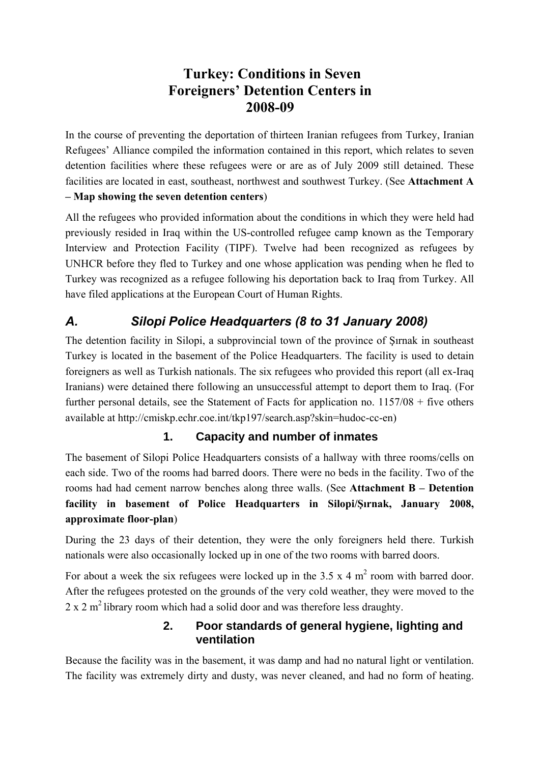# **Turkey: Conditions in Seven Foreigners' Detention Centers in 2008-09**

<span id="page-2-0"></span>In the course of preventing the deportation of thirteen Iranian refugees from Turkey, Iranian Refugees' Alliance compiled the information contained in this report, which relates to seven detention facilities where these refugees were or are as of July 2009 still detained. These facilities are located in east, southeast, northwest and southwest Turkey. (See **Attachment A – Map showing the seven detention centers**)

All the refugees who provided information about the conditions in which they were held had previously resided in Iraq within the US-controlled refugee camp known as the Temporary Interview and Protection Facility (TIPF). Twelve had been recognized as refugees by UNHCR before they fled to Turkey and one whose application was pending when he fled to Turkey was recognized as a refugee following his deportation back to Iraq from Turkey. All have filed applications at the European Court of Human Rights.

# *A. Silopi Police Headquarters (8 to 31 January 2008)*

The detention facility in Silopi, a subprovincial town of the province of Şırnak in southeast Turkey is located in the basement of the Police Headquarters. The facility is used to detain foreigners as well as Turkish nationals. The six refugees who provided this report (all ex-Iraq Iranians) were detained there following an unsuccessful attempt to deport them to Iraq. (For further personal details, see the Statement of Facts for application no. 1157/08 + five others available at http://cmiskp.echr.coe.int/tkp197/search.asp?skin=hudoc-cc-en)

#### **1. Capacity and number of inmates**

The basement of Silopi Police Headquarters consists of a hallway with three rooms/cells on each side. Two of the rooms had barred doors. There were no beds in the facility. Two of the rooms had had cement narrow benches along three walls. (See **Attachment B – Detention facility in basement of Police Headquarters in Silopi/Şırnak, January 2008, approximate floor-plan**)

During the 23 days of their detention, they were the only foreigners held there. Turkish nationals were also occasionally locked up in one of the two rooms with barred doors.

For about a week the six refugees were locked up in the 3.5 x 4  $m^2$  room with barred door. After the refugees protested on the grounds of the very cold weather, they were moved to the  $2 \times 2$  m<sup>2</sup> library room which had a solid door and was therefore less draughty.

#### **2. Poor standards of general hygiene, lighting and ventilation**

Because the facility was in the basement, it was damp and had no natural light or ventilation. The facility was extremely dirty and dusty, was never cleaned, and had no form of heating.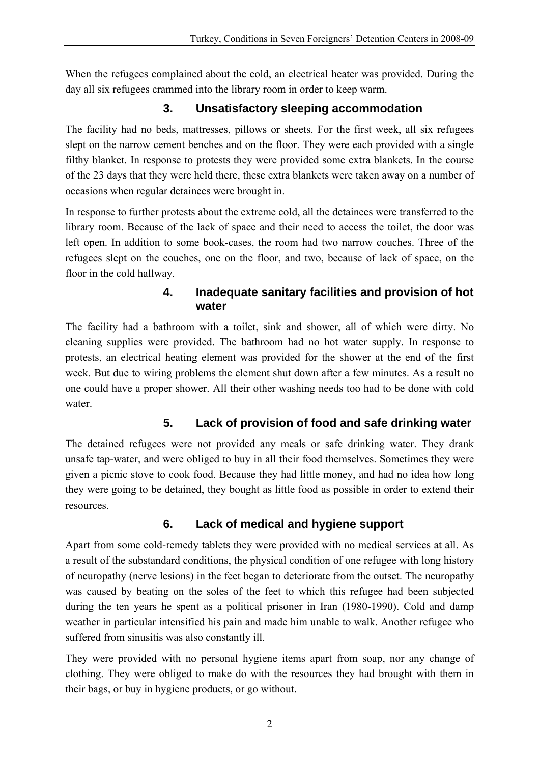<span id="page-3-0"></span>When the refugees complained about the cold, an electrical heater was provided. During the day all six refugees crammed into the library room in order to keep warm.

### **3. Unsatisfactory sleeping accommodation**

The facility had no beds, mattresses, pillows or sheets. For the first week, all six refugees slept on the narrow cement benches and on the floor. They were each provided with a single filthy blanket. In response to protests they were provided some extra blankets. In the course of the 23 days that they were held there, these extra blankets were taken away on a number of occasions when regular detainees were brought in.

In response to further protests about the extreme cold, all the detainees were transferred to the library room. Because of the lack of space and their need to access the toilet, the door was left open. In addition to some book-cases, the room had two narrow couches. Three of the refugees slept on the couches, one on the floor, and two, because of lack of space, on the floor in the cold hallway.

#### **4. Inadequate sanitary facilities and provision of hot water**

The facility had a bathroom with a toilet, sink and shower, all of which were dirty. No cleaning supplies were provided. The bathroom had no hot water supply. In response to protests, an electrical heating element was provided for the shower at the end of the first week. But due to wiring problems the element shut down after a few minutes. As a result no one could have a proper shower. All their other washing needs too had to be done with cold water.

### **5. Lack of provision of food and safe drinking water**

The detained refugees were not provided any meals or safe drinking water. They drank unsafe tap-water, and were obliged to buy in all their food themselves. Sometimes they were given a picnic stove to cook food. Because they had little money, and had no idea how long they were going to be detained, they bought as little food as possible in order to extend their resources.

### **6. Lack of medical and hygiene support**

Apart from some cold-remedy tablets they were provided with no medical services at all. As a result of the substandard conditions, the physical condition of one refugee with long history of neuropathy (nerve lesions) in the feet began to deteriorate from the outset. The neuropathy was caused by beating on the soles of the feet to which this refugee had been subjected during the ten years he spent as a political prisoner in Iran (1980-1990). Cold and damp weather in particular intensified his pain and made him unable to walk. Another refugee who suffered from sinusitis was also constantly ill.

They were provided with no personal hygiene items apart from soap, nor any change of clothing. They were obliged to make do with the resources they had brought with them in their bags, or buy in hygiene products, or go without.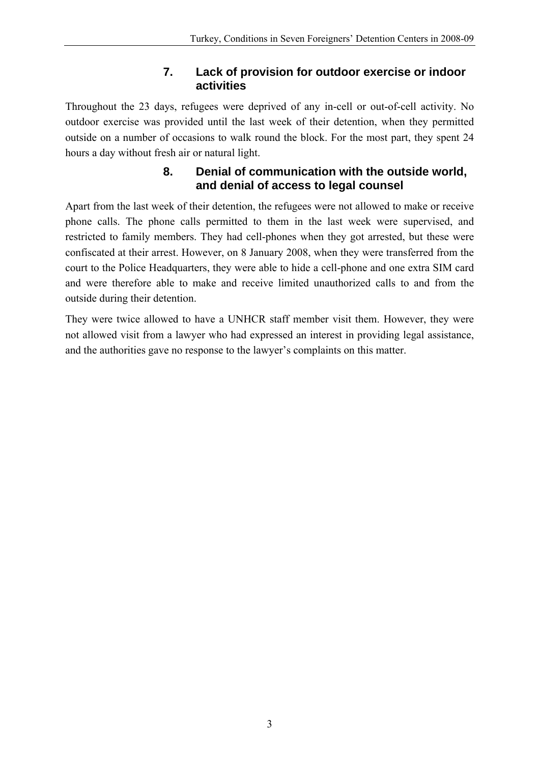### **7. Lack of provision for outdoor exercise or indoor activities**

<span id="page-4-0"></span>Throughout the 23 days, refugees were deprived of any in-cell or out-of-cell activity. No outdoor exercise was provided until the last week of their detention, when they permitted outside on a number of occasions to walk round the block. For the most part, they spent 24 hours a day without fresh air or natural light.

#### **8. Denial of communication with the outside world, and denial of access to legal counsel**

Apart from the last week of their detention, the refugees were not allowed to make or receive phone calls. The phone calls permitted to them in the last week were supervised, and restricted to family members. They had cell-phones when they got arrested, but these were confiscated at their arrest. However, on 8 January 2008, when they were transferred from the court to the Police Headquarters, they were able to hide a cell-phone and one extra SIM card and were therefore able to make and receive limited unauthorized calls to and from the outside during their detention.

They were twice allowed to have a UNHCR staff member visit them. However, they were not allowed visit from a lawyer who had expressed an interest in providing legal assistance, and the authorities gave no response to the lawyer's complaints on this matter.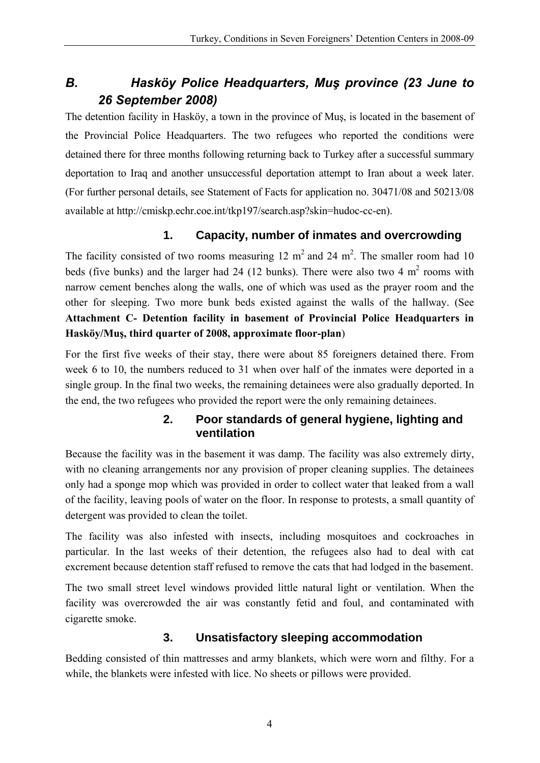# <span id="page-5-0"></span>*B. Hasköy Police Headquarters, Muş province (23 June to 26 September 2008)*

The detention facility in Hasköy, a town in the province of Muş, is located in the basement of the Provincial Police Headquarters. The two refugees who reported the conditions were detained there for three months following returning back to Turkey after a successful summary deportation to Iraq and another unsuccessful deportation attempt to Iran about a week later. (For further personal details, see Statement of Facts for application no. 30471/08 and 50213/08 available at http://cmiskp.echr.coe.int/tkp197/search.asp?skin=hudoc-cc-en).

### **1. Capacity, number of inmates and overcrowding**

The facility consisted of two rooms measuring 12  $m<sup>2</sup>$  and 24  $m<sup>2</sup>$ . The smaller room had 10 beds (five bunks) and the larger had 24 (12 bunks). There were also two 4  $m<sup>2</sup>$  rooms with narrow cement benches along the walls, one of which was used as the prayer room and the other for sleeping. Two more bunk beds existed against the walls of the hallway. (See **Attachment C- Detention facility in basement of Provincial Police Headquarters in Hasköy/Muş, third quarter of 2008, approximate floor-plan**)

For the first five weeks of their stay, there were about 85 foreigners detained there. From week 6 to 10, the numbers reduced to 31 when over half of the inmates were deported in a single group. In the final two weeks, the remaining detainees were also gradually deported. In the end, the two refugees who provided the report were the only remaining detainees.

#### **2. Poor standards of general hygiene, lighting and ventilation**

Because the facility was in the basement it was damp. The facility was also extremely dirty, with no cleaning arrangements nor any provision of proper cleaning supplies. The detainees only had a sponge mop which was provided in order to collect water that leaked from a wall of the facility, leaving pools of water on the floor. In response to protests, a small quantity of detergent was provided to clean the toilet.

The facility was also infested with insects, including mosquitoes and cockroaches in particular. In the last weeks of their detention, the refugees also had to deal with cat excrement because detention staff refused to remove the cats that had lodged in the basement.

The two small street level windows provided little natural light or ventilation. When the facility was overcrowded the air was constantly fetid and foul, and contaminated with cigarette smoke.

#### **3. Unsatisfactory sleeping accommodation**

Bedding consisted of thin mattresses and army blankets, which were worn and filthy. For a while, the blankets were infested with lice. No sheets or pillows were provided.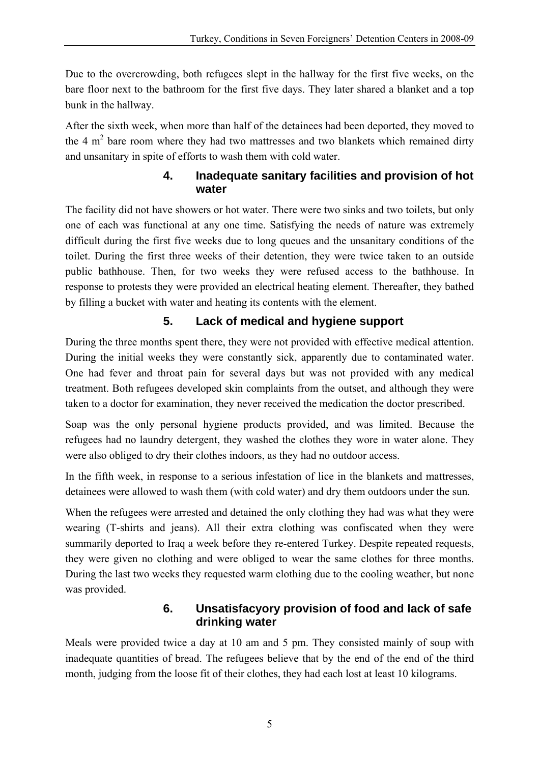<span id="page-6-0"></span>Due to the overcrowding, both refugees slept in the hallway for the first five weeks, on the bare floor next to the bathroom for the first five days. They later shared a blanket and a top bunk in the hallway.

After the sixth week, when more than half of the detainees had been deported, they moved to the 4  $m<sup>2</sup>$  bare room where they had two mattresses and two blankets which remained dirty and unsanitary in spite of efforts to wash them with cold water.

#### **4. Inadequate sanitary facilities and provision of hot water**

The facility did not have showers or hot water. There were two sinks and two toilets, but only one of each was functional at any one time. Satisfying the needs of nature was extremely difficult during the first five weeks due to long queues and the unsanitary conditions of the toilet. During the first three weeks of their detention, they were twice taken to an outside public bathhouse. Then, for two weeks they were refused access to the bathhouse. In response to protests they were provided an electrical heating element. Thereafter, they bathed by filling a bucket with water and heating its contents with the element.

# **5. Lack of medical and hygiene support**

During the three months spent there, they were not provided with effective medical attention. During the initial weeks they were constantly sick, apparently due to contaminated water. One had fever and throat pain for several days but was not provided with any medical treatment. Both refugees developed skin complaints from the outset, and although they were taken to a doctor for examination, they never received the medication the doctor prescribed.

Soap was the only personal hygiene products provided, and was limited. Because the refugees had no laundry detergent, they washed the clothes they wore in water alone. They were also obliged to dry their clothes indoors, as they had no outdoor access.

In the fifth week, in response to a serious infestation of lice in the blankets and mattresses, detainees were allowed to wash them (with cold water) and dry them outdoors under the sun.

When the refugees were arrested and detained the only clothing they had was what they were wearing (T-shirts and jeans). All their extra clothing was confiscated when they were summarily deported to Iraq a week before they re-entered Turkey. Despite repeated requests, they were given no clothing and were obliged to wear the same clothes for three months. During the last two weeks they requested warm clothing due to the cooling weather, but none was provided.

#### **6. Unsatisfacyory provision of food and lack of safe drinking water**

Meals were provided twice a day at 10 am and 5 pm. They consisted mainly of soup with inadequate quantities of bread. The refugees believe that by the end of the end of the third month, judging from the loose fit of their clothes, they had each lost at least 10 kilograms.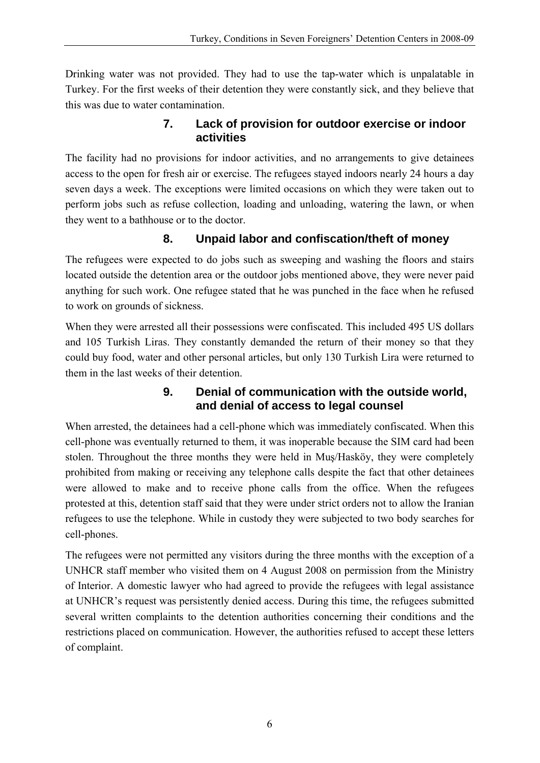<span id="page-7-0"></span>Drinking water was not provided. They had to use the tap-water which is unpalatable in Turkey. For the first weeks of their detention they were constantly sick, and they believe that this was due to water contamination.

#### **7. Lack of provision for outdoor exercise or indoor activities**

The facility had no provisions for indoor activities, and no arrangements to give detainees access to the open for fresh air or exercise. The refugees stayed indoors nearly 24 hours a day seven days a week. The exceptions were limited occasions on which they were taken out to perform jobs such as refuse collection, loading and unloading, watering the lawn, or when they went to a bathhouse or to the doctor.

### **8. Unpaid labor and confiscation/theft of money**

The refugees were expected to do jobs such as sweeping and washing the floors and stairs located outside the detention area or the outdoor jobs mentioned above, they were never paid anything for such work. One refugee stated that he was punched in the face when he refused to work on grounds of sickness.

When they were arrested all their possessions were confiscated. This included 495 US dollars and 105 Turkish Liras. They constantly demanded the return of their money so that they could buy food, water and other personal articles, but only 130 Turkish Lira were returned to them in the last weeks of their detention.

#### **9. Denial of communication with the outside world, and denial of access to legal counsel**

When arrested, the detainees had a cell-phone which was immediately confiscated. When this cell-phone was eventually returned to them, it was inoperable because the SIM card had been stolen. Throughout the three months they were held in Muş/Hasköy, they were completely prohibited from making or receiving any telephone calls despite the fact that other detainees were allowed to make and to receive phone calls from the office. When the refugees protested at this, detention staff said that they were under strict orders not to allow the Iranian refugees to use the telephone. While in custody they were subjected to two body searches for cell-phones.

The refugees were not permitted any visitors during the three months with the exception of a UNHCR staff member who visited them on 4 August 2008 on permission from the Ministry of Interior. A domestic lawyer who had agreed to provide the refugees with legal assistance at UNHCR's request was persistently denied access. During this time, the refugees submitted several written complaints to the detention authorities concerning their conditions and the restrictions placed on communication. However, the authorities refused to accept these letters of complaint.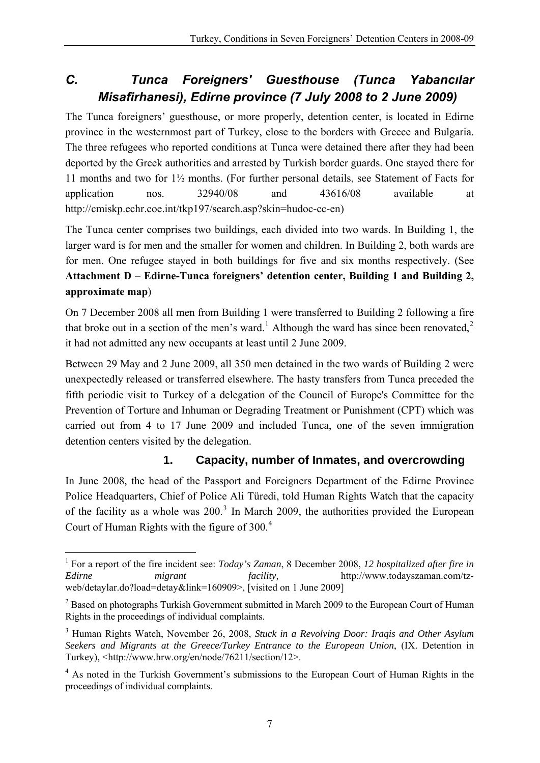# <span id="page-8-0"></span>*C. Tunca Foreigners' Guesthouse (Tunca Yabancılar Misafirhanesi), Edirne province (7 July 2008 to 2 June 2009)*

The Tunca foreigners' guesthouse, or more properly, detention center, is located in Edirne province in the westernmost part of Turkey, close to the borders with Greece and Bulgaria. The three refugees who reported conditions at Tunca were detained there after they had been deported by the Greek authorities and arrested by Turkish border guards. One stayed there for 11 months and two for 1½ months. (For further personal details, see Statement of Facts for application nos. 32940/08 and 43616/08 available at http://cmiskp.echr.coe.int/tkp197/search.asp?skin=hudoc-cc-en)

The Tunca center comprises two buildings, each divided into two wards. In Building 1, the larger ward is for men and the smaller for women and children. In Building 2, both wards are for men. One refugee stayed in both buildings for five and six months respectively. (See **Attachment D – Edirne-Tunca foreigners' detention center, Building 1 and Building 2, approximate map**)

On 7 December 2008 all men from Building 1 were transferred to Building 2 following a fire that broke out in a section of the men's ward.<sup>[1](#page-8-1)</sup> Although the ward has since been renovated,<sup>[2](#page-8-2)</sup> it had not admitted any new occupants at least until 2 June 2009.

Between 29 May and 2 June 2009, all 350 men detained in the two wards of Building 2 were unexpectedly released or transferred elsewhere. The hasty transfers from Tunca preceded the fifth periodic visit to Turkey of a delegation of the Council of Europe's Committee for the Prevention of Torture and Inhuman or Degrading Treatment or Punishment (CPT) which was carried out from 4 to 17 June 2009 and included Tunca, one of the seven immigration detention centers visited by the delegation.

### **1. Capacity, number of Inmates, and overcrowding**

In June 2008, the head of the Passport and Foreigners Department of the Edirne Province Police Headquarters, Chief of Police Ali Türedi, told Human Rights Watch that the capacity of the facility as a whole was  $200<sup>3</sup>$  $200<sup>3</sup>$  $200<sup>3</sup>$  In March 2009, the authorities provided the European Court of Human Rights with the figure of 300.<sup>[4](#page-8-4)</sup>

<span id="page-8-1"></span><sup>1</sup> <sup>1</sup> For a report of the fire incident see: *Today's Zaman*, 8 December 2008, 12 hospitalized after fire in *Edirne migrant facility,* http://www.todayszaman.com/tzweb/detaylar.do?load=detay&link=160909>, [visited on 1 June 2009]

<span id="page-8-2"></span> $2$  Based on photographs Turkish Government submitted in March 2009 to the European Court of Human Rights in the proceedings of individual complaints.

<span id="page-8-3"></span><sup>3</sup> Human Rights Watch, November 26, 2008, *Stuck in a Revolving Door: Iraqis and Other Asylum Seekers and Migrants at the Greece/Turkey Entrance to the European Union*, (IX. Detention in Turkey), <http://www.hrw.org/en/node/76211/section/12>.

<span id="page-8-4"></span><sup>&</sup>lt;sup>4</sup> As noted in the Turkish Government's submissions to the European Court of Human Rights in the proceedings of individual complaints.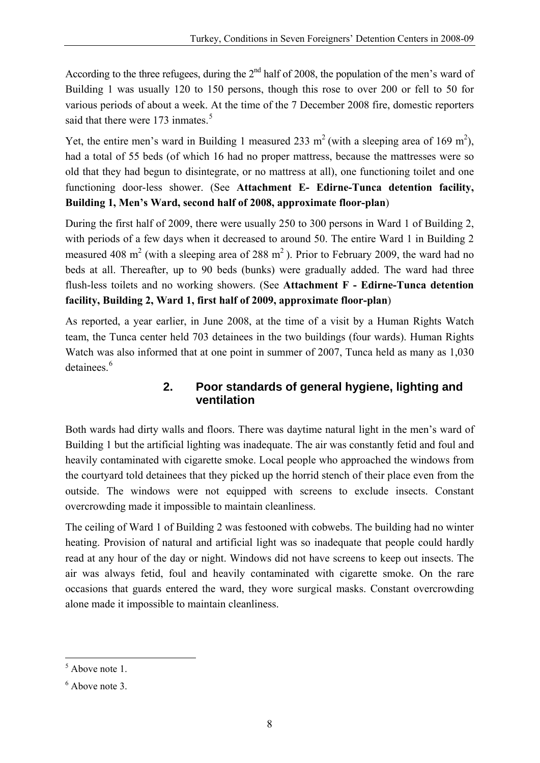<span id="page-9-0"></span>According to the three refugees, during the  $2<sup>nd</sup>$  half of 2008, the population of the men's ward of Building 1 was usually 120 to 150 persons, though this rose to over 200 or fell to 50 for various periods of about a week. At the time of the 7 December 2008 fire, domestic reporters said that there were 173 inmates.<sup>[5](#page-9-1)</sup>

Yet, the entire men's ward in Building 1 measured 233 m<sup>2</sup> (with a sleeping area of 169 m<sup>2</sup>), had a total of 55 beds (of which 16 had no proper mattress, because the mattresses were so old that they had begun to disintegrate, or no mattress at all), one functioning toilet and one functioning door-less shower. (See **Attachment E- Edirne-Tunca detention facility, Building 1, Men's Ward, second half of 2008, approximate floor-plan**)

During the first half of 2009, there were usually 250 to 300 persons in Ward 1 of Building 2, with periods of a few days when it decreased to around 50. The entire Ward 1 in Building 2 measured 408 m<sup>2</sup> (with a sleeping area of 288 m<sup>2</sup>). Prior to February 2009, the ward had no beds at all. Thereafter, up to 90 beds (bunks) were gradually added. The ward had three flush-less toilets and no working showers. (See **Attachment F - Edirne-Tunca detention facility, Building 2, Ward 1, first half of 2009, approximate floor-plan**)

As reported, a year earlier, in June 2008, at the time of a visit by a Human Rights Watch team, the Tunca center held 703 detainees in the two buildings (four wards). Human Rights Watch was also informed that at one point in summer of 2007, Tunca held as many as 1,030 detainees.<sup>[6](#page-9-2)</sup>

#### **2. Poor standards of general hygiene, lighting and ventilation**

Both wards had dirty walls and floors. There was daytime natural light in the men's ward of Building 1 but the artificial lighting was inadequate. The air was constantly fetid and foul and heavily contaminated with cigarette smoke. Local people who approached the windows from the courtyard told detainees that they picked up the horrid stench of their place even from the outside. The windows were not equipped with screens to exclude insects. Constant overcrowding made it impossible to maintain cleanliness.

The ceiling of Ward 1 of Building 2 was festooned with cobwebs. The building had no winter heating. Provision of natural and artificial light was so inadequate that people could hardly read at any hour of the day or night. Windows did not have screens to keep out insects. The air was always fetid, foul and heavily contaminated with cigarette smoke. On the rare occasions that guards entered the ward, they wore surgical masks. Constant overcrowding alone made it impossible to maintain cleanliness.

1

<span id="page-9-1"></span><sup>&</sup>lt;sup>5</sup> Above note 1.

<span id="page-9-2"></span><sup>6</sup> Above note 3.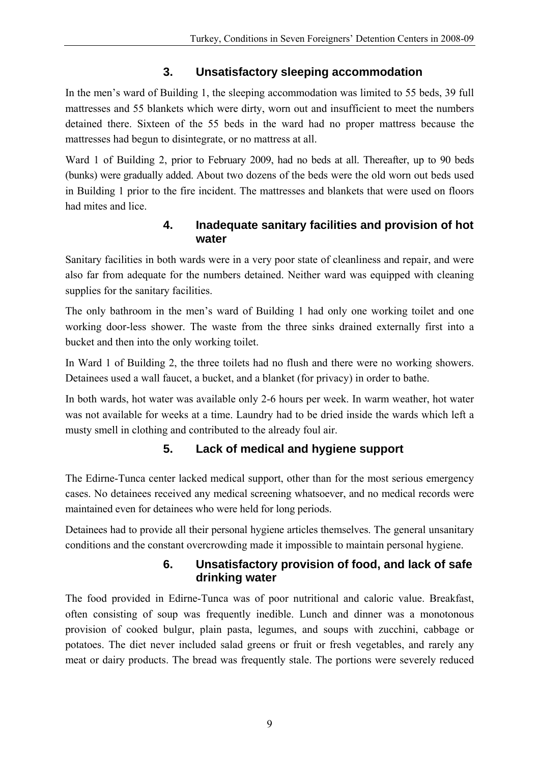### **3. Unsatisfactory sleeping accommodation**

<span id="page-10-0"></span>In the men's ward of Building 1, the sleeping accommodation was limited to 55 beds, 39 full mattresses and 55 blankets which were dirty, worn out and insufficient to meet the numbers detained there. Sixteen of the 55 beds in the ward had no proper mattress because the mattresses had begun to disintegrate, or no mattress at all.

Ward 1 of Building 2, prior to February 2009, had no beds at all. Thereafter, up to 90 beds (bunks) were gradually added. About two dozens of the beds were the old worn out beds used in Building 1 prior to the fire incident. The mattresses and blankets that were used on floors had mites and lice.

#### **4. Inadequate sanitary facilities and provision of hot water**

Sanitary facilities in both wards were in a very poor state of cleanliness and repair, and were also far from adequate for the numbers detained. Neither ward was equipped with cleaning supplies for the sanitary facilities.

The only bathroom in the men's ward of Building 1 had only one working toilet and one working door-less shower. The waste from the three sinks drained externally first into a bucket and then into the only working toilet.

In Ward 1 of Building 2, the three toilets had no flush and there were no working showers. Detainees used a wall faucet, a bucket, and a blanket (for privacy) in order to bathe.

In both wards, hot water was available only 2-6 hours per week. In warm weather, hot water was not available for weeks at a time. Laundry had to be dried inside the wards which left a musty smell in clothing and contributed to the already foul air.

# **5. Lack of medical and hygiene support**

The Edirne-Tunca center lacked medical support, other than for the most serious emergency cases. No detainees received any medical screening whatsoever, and no medical records were maintained even for detainees who were held for long periods.

Detainees had to provide all their personal hygiene articles themselves. The general unsanitary conditions and the constant overcrowding made it impossible to maintain personal hygiene.

#### **6. Unsatisfactory provision of food, and lack of safe drinking water**

The food provided in Edirne-Tunca was of poor nutritional and caloric value. Breakfast, often consisting of soup was frequently inedible. Lunch and dinner was a monotonous provision of cooked bulgur, plain pasta, legumes, and soups with zucchini, cabbage or potatoes. The diet never included salad greens or fruit or fresh vegetables, and rarely any meat or dairy products. The bread was frequently stale. The portions were severely reduced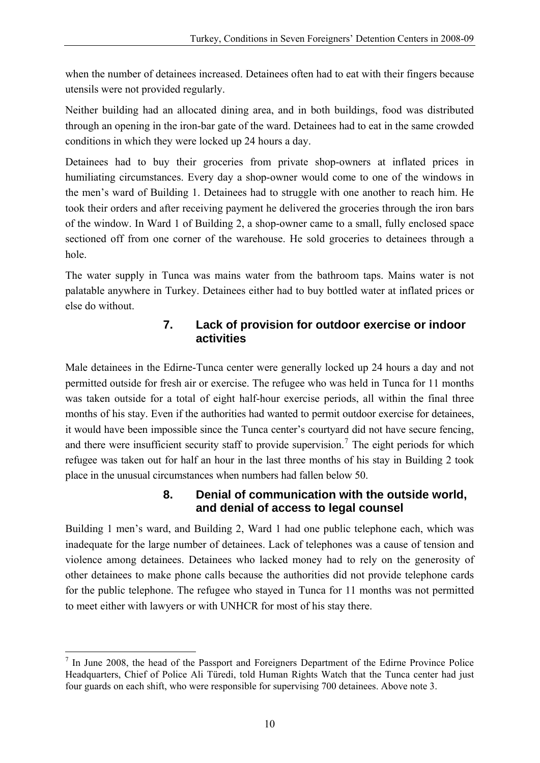<span id="page-11-0"></span>when the number of detainees increased. Detainees often had to eat with their fingers because utensils were not provided regularly.

Neither building had an allocated dining area, and in both buildings, food was distributed through an opening in the iron-bar gate of the ward. Detainees had to eat in the same crowded conditions in which they were locked up 24 hours a day.

Detainees had to buy their groceries from private shop-owners at inflated prices in humiliating circumstances. Every day a shop-owner would come to one of the windows in the men's ward of Building 1. Detainees had to struggle with one another to reach him. He took their orders and after receiving payment he delivered the groceries through the iron bars of the window. In Ward 1 of Building 2, a shop-owner came to a small, fully enclosed space sectioned off from one corner of the warehouse. He sold groceries to detainees through a hole.

The water supply in Tunca was mains water from the bathroom taps. Mains water is not palatable anywhere in Turkey. Detainees either had to buy bottled water at inflated prices or else do without.

#### **7. Lack of provision for outdoor exercise or indoor activities**

Male detainees in the Edirne-Tunca center were generally locked up 24 hours a day and not permitted outside for fresh air or exercise. The refugee who was held in Tunca for 11 months was taken outside for a total of eight half-hour exercise periods, all within the final three months of his stay. Even if the authorities had wanted to permit outdoor exercise for detainees, it would have been impossible since the Tunca center's courtyard did not have secure fencing, and there were insufficient security staff to provide supervision.<sup>[7](#page-11-1)</sup> The eight periods for which refugee was taken out for half an hour in the last three months of his stay in Building 2 took place in the unusual circumstances when numbers had fallen below 50.

#### **8. Denial of communication with the outside world, and denial of access to legal counsel**

Building 1 men's ward, and Building 2, Ward 1 had one public telephone each, which was inadequate for the large number of detainees. Lack of telephones was a cause of tension and violence among detainees. Detainees who lacked money had to rely on the generosity of other detainees to make phone calls because the authorities did not provide telephone cards for the public telephone. The refugee who stayed in Tunca for 11 months was not permitted to meet either with lawyers or with UNHCR for most of his stay there.

1

<span id="page-11-1"></span> $<sup>7</sup>$  In June 2008, the head of the Passport and Foreigners Department of the Edirne Province Police</sup> Headquarters, Chief of Police Ali Türedi, told Human Rights Watch that the Tunca center had just four guards on each shift, who were responsible for supervising 700 detainees. Above note 3.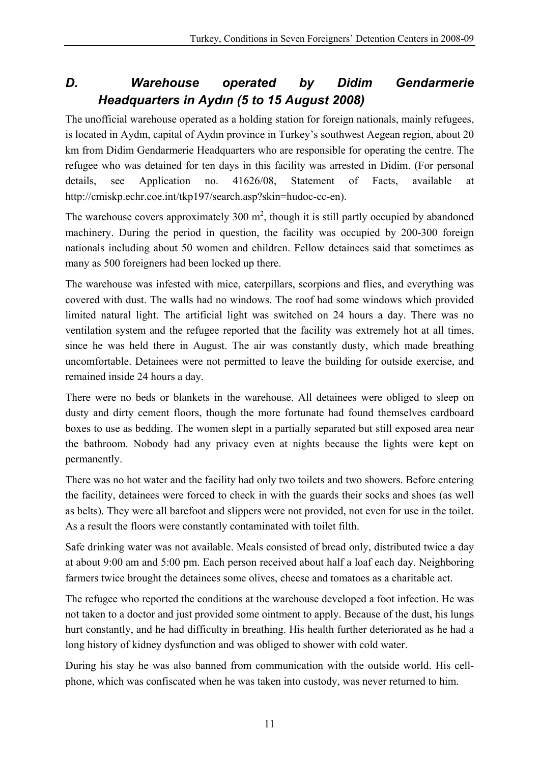# <span id="page-12-0"></span>*D. Warehouse operated by Didim Gendarmerie Headquarters in Aydın (5 to 15 August 2008)*

The unofficial warehouse operated as a holding station for foreign nationals, mainly refugees, is located in Aydın, capital of Aydın province in Turkey's southwest Aegean region, about 20 km from Didim Gendarmerie Headquarters who are responsible for operating the centre. The refugee who was detained for ten days in this facility was arrested in Didim. (For personal details, see Application no. 41626/08, Statement of Facts, available at http://cmiskp.echr.coe.int/tkp197/search.asp?skin=hudoc-cc-en).

The warehouse covers approximately 300  $m^2$ , though it is still partly occupied by abandoned machinery. During the period in question, the facility was occupied by 200-300 foreign nationals including about 50 women and children. Fellow detainees said that sometimes as many as 500 foreigners had been locked up there.

The warehouse was infested with mice, caterpillars, scorpions and flies, and everything was covered with dust. The walls had no windows. The roof had some windows which provided limited natural light. The artificial light was switched on 24 hours a day. There was no ventilation system and the refugee reported that the facility was extremely hot at all times, since he was held there in August. The air was constantly dusty, which made breathing uncomfortable. Detainees were not permitted to leave the building for outside exercise, and remained inside 24 hours a day.

There were no beds or blankets in the warehouse. All detainees were obliged to sleep on dusty and dirty cement floors, though the more fortunate had found themselves cardboard boxes to use as bedding. The women slept in a partially separated but still exposed area near the bathroom. Nobody had any privacy even at nights because the lights were kept on permanently.

There was no hot water and the facility had only two toilets and two showers. Before entering the facility, detainees were forced to check in with the guards their socks and shoes (as well as belts). They were all barefoot and slippers were not provided, not even for use in the toilet. As a result the floors were constantly contaminated with toilet filth.

Safe drinking water was not available. Meals consisted of bread only, distributed twice a day at about 9:00 am and 5:00 pm. Each person received about half a loaf each day. Neighboring farmers twice brought the detainees some olives, cheese and tomatoes as a charitable act.

The refugee who reported the conditions at the warehouse developed a foot infection. He was not taken to a doctor and just provided some ointment to apply. Because of the dust, his lungs hurt constantly, and he had difficulty in breathing. His health further deteriorated as he had a long history of kidney dysfunction and was obliged to shower with cold water.

During his stay he was also banned from communication with the outside world. His cellphone, which was confiscated when he was taken into custody, was never returned to him.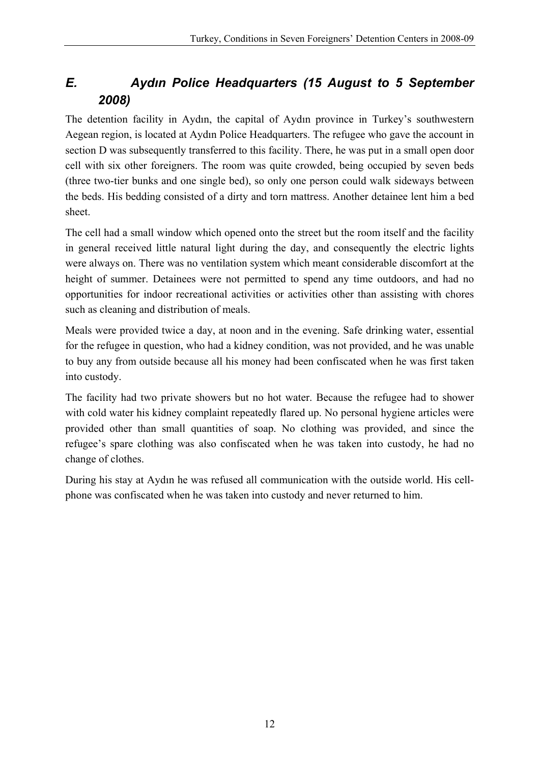# <span id="page-13-0"></span>*E. Aydın Police Headquarters (15 August to 5 September 2008)*

The detention facility in Aydın, the capital of Aydın province in Turkey's southwestern Aegean region, is located at Aydın Police Headquarters. The refugee who gave the account in section D was subsequently transferred to this facility. There, he was put in a small open door cell with six other foreigners. The room was quite crowded, being occupied by seven beds (three two-tier bunks and one single bed), so only one person could walk sideways between the beds. His bedding consisted of a dirty and torn mattress. Another detainee lent him a bed sheet.

The cell had a small window which opened onto the street but the room itself and the facility in general received little natural light during the day, and consequently the electric lights were always on. There was no ventilation system which meant considerable discomfort at the height of summer. Detainees were not permitted to spend any time outdoors, and had no opportunities for indoor recreational activities or activities other than assisting with chores such as cleaning and distribution of meals.

Meals were provided twice a day, at noon and in the evening. Safe drinking water, essential for the refugee in question, who had a kidney condition, was not provided, and he was unable to buy any from outside because all his money had been confiscated when he was first taken into custody.

The facility had two private showers but no hot water. Because the refugee had to shower with cold water his kidney complaint repeatedly flared up. No personal hygiene articles were provided other than small quantities of soap. No clothing was provided, and since the refugee's spare clothing was also confiscated when he was taken into custody, he had no change of clothes.

During his stay at Aydın he was refused all communication with the outside world. His cellphone was confiscated when he was taken into custody and never returned to him.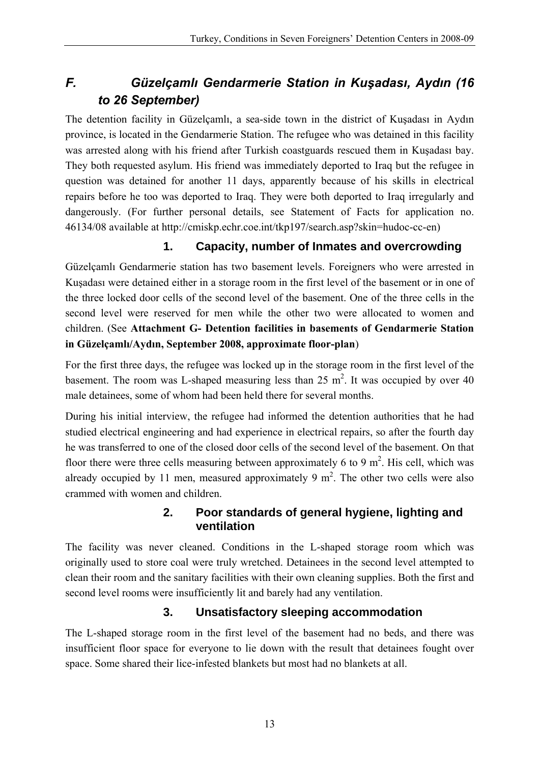# <span id="page-14-0"></span>*F. Güzelçamlı Gendarmerie Station in Kuşadası, Aydın (16 to 26 September)*

The detention facility in Güzelçamlı, a sea-side town in the district of Kuşadası in Aydın province, is located in the Gendarmerie Station. The refugee who was detained in this facility was arrested along with his friend after Turkish coastguards rescued them in Kuşadası bay. They both requested asylum. His friend was immediately deported to Iraq but the refugee in question was detained for another 11 days, apparently because of his skills in electrical repairs before he too was deported to Iraq. They were both deported to Iraq irregularly and dangerously. (For further personal details, see Statement of Facts for application no. 46134/08 available at http://cmiskp.echr.coe.int/tkp197/search.asp?skin=hudoc-cc-en)

### **1. Capacity, number of Inmates and overcrowding**

Güzelçamlı Gendarmerie station has two basement levels. Foreigners who were arrested in Kuşadası were detained either in a storage room in the first level of the basement or in one of the three locked door cells of the second level of the basement. One of the three cells in the second level were reserved for men while the other two were allocated to women and children. (See **Attachment G- Detention facilities in basements of Gendarmerie Station in Güzelçamlı/Aydın, September 2008, approximate floor-plan**)

For the first three days, the refugee was locked up in the storage room in the first level of the basement. The room was L-shaped measuring less than  $25 \text{ m}^2$ . It was occupied by over 40 male detainees, some of whom had been held there for several months.

During his initial interview, the refugee had informed the detention authorities that he had studied electrical engineering and had experience in electrical repairs, so after the fourth day he was transferred to one of the closed door cells of the second level of the basement. On that floor there were three cells measuring between approximately 6 to 9  $m^2$ . His cell, which was already occupied by 11 men, measured approximately 9  $m<sup>2</sup>$ . The other two cells were also crammed with women and children.

#### **2. Poor standards of general hygiene, lighting and ventilation**

The facility was never cleaned. Conditions in the L-shaped storage room which was originally used to store coal were truly wretched. Detainees in the second level attempted to clean their room and the sanitary facilities with their own cleaning supplies. Both the first and second level rooms were insufficiently lit and barely had any ventilation.

### **3. Unsatisfactory sleeping accommodation**

The L-shaped storage room in the first level of the basement had no beds, and there was insufficient floor space for everyone to lie down with the result that detainees fought over space. Some shared their lice-infested blankets but most had no blankets at all.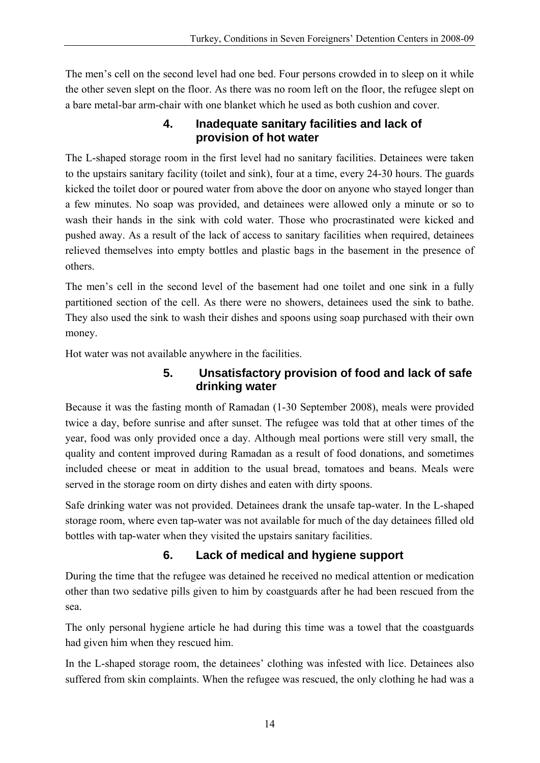<span id="page-15-0"></span>The men's cell on the second level had one bed. Four persons crowded in to sleep on it while the other seven slept on the floor. As there was no room left on the floor, the refugee slept on a bare metal-bar arm-chair with one blanket which he used as both cushion and cover.

#### **4. Inadequate sanitary facilities and lack of provision of hot water**

The L-shaped storage room in the first level had no sanitary facilities. Detainees were taken to the upstairs sanitary facility (toilet and sink), four at a time, every 24-30 hours. The guards kicked the toilet door or poured water from above the door on anyone who stayed longer than a few minutes. No soap was provided, and detainees were allowed only a minute or so to wash their hands in the sink with cold water. Those who procrastinated were kicked and pushed away. As a result of the lack of access to sanitary facilities when required, detainees relieved themselves into empty bottles and plastic bags in the basement in the presence of others.

The men's cell in the second level of the basement had one toilet and one sink in a fully partitioned section of the cell. As there were no showers, detainees used the sink to bathe. They also used the sink to wash their dishes and spoons using soap purchased with their own money.

Hot water was not available anywhere in the facilities.

#### **5. Unsatisfactory provision of food and lack of safe drinking water**

Because it was the fasting month of Ramadan (1-30 September 2008), meals were provided twice a day, before sunrise and after sunset. The refugee was told that at other times of the year, food was only provided once a day. Although meal portions were still very small, the quality and content improved during Ramadan as a result of food donations, and sometimes included cheese or meat in addition to the usual bread, tomatoes and beans. Meals were served in the storage room on dirty dishes and eaten with dirty spoons.

Safe drinking water was not provided. Detainees drank the unsafe tap-water. In the L-shaped storage room, where even tap-water was not available for much of the day detainees filled old bottles with tap-water when they visited the upstairs sanitary facilities.

# **6. Lack of medical and hygiene support**

During the time that the refugee was detained he received no medical attention or medication other than two sedative pills given to him by coastguards after he had been rescued from the sea.

The only personal hygiene article he had during this time was a towel that the coastguards had given him when they rescued him.

In the L-shaped storage room, the detainees' clothing was infested with lice. Detainees also suffered from skin complaints. When the refugee was rescued, the only clothing he had was a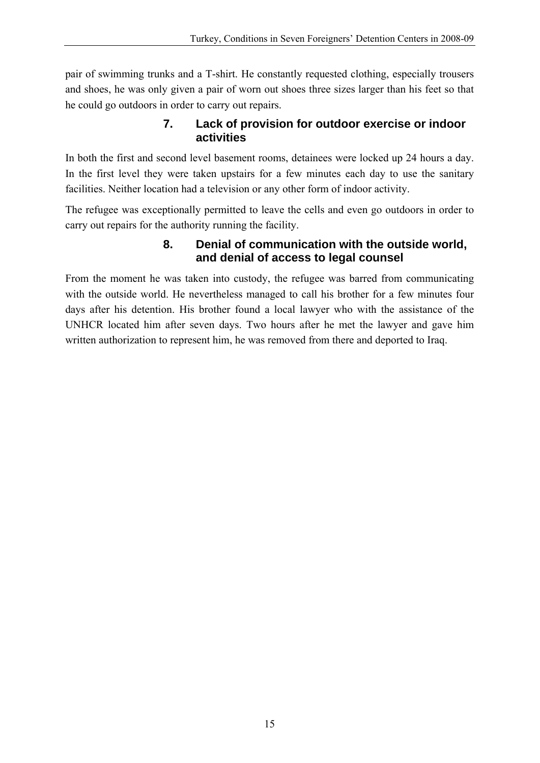<span id="page-16-0"></span>pair of swimming trunks and a T-shirt. He constantly requested clothing, especially trousers and shoes, he was only given a pair of worn out shoes three sizes larger than his feet so that he could go outdoors in order to carry out repairs.

#### **7. Lack of provision for outdoor exercise or indoor activities**

In both the first and second level basement rooms, detainees were locked up 24 hours a day. In the first level they were taken upstairs for a few minutes each day to use the sanitary facilities. Neither location had a television or any other form of indoor activity.

The refugee was exceptionally permitted to leave the cells and even go outdoors in order to carry out repairs for the authority running the facility.

#### **8. Denial of communication with the outside world, and denial of access to legal counsel**

From the moment he was taken into custody, the refugee was barred from communicating with the outside world. He nevertheless managed to call his brother for a few minutes four days after his detention. His brother found a local lawyer who with the assistance of the UNHCR located him after seven days. Two hours after he met the lawyer and gave him written authorization to represent him, he was removed from there and deported to Iraq.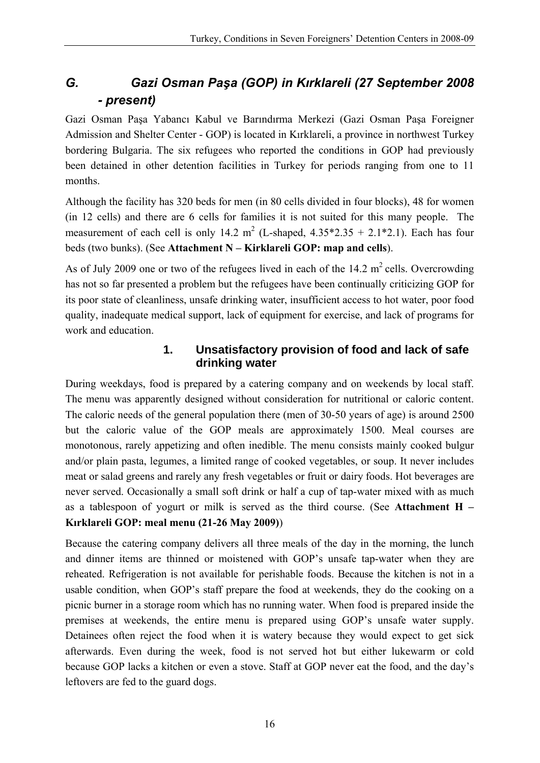# <span id="page-17-0"></span>*G. Gazi Osman Paşa (GOP) in Kırklareli (27 September 2008 - present)*

Gazi Osman Paşa Yabancı Kabul ve Barındırma Merkezi (Gazi Osman Paşa Foreigner Admission and Shelter Center - GOP) is located in Kırklareli, a province in northwest Turkey bordering Bulgaria. The six refugees who reported the conditions in GOP had previously been detained in other detention facilities in Turkey for periods ranging from one to 11 months.

Although the facility has 320 beds for men (in 80 cells divided in four blocks), 48 for women (in 12 cells) and there are 6 cells for families it is not suited for this many people. The measurement of each cell is only 14.2 m<sup>2</sup> (L-shaped,  $4.35*2.35 + 2.1*2.1$ ). Each has four beds (two bunks). (See **Attachment N – Kirklareli GOP: map and cells**).

As of July 2009 one or two of the refugees lived in each of the  $14.2 \text{ m}^2$  cells. Overcrowding has not so far presented a problem but the refugees have been continually criticizing GOP for its poor state of cleanliness, unsafe drinking water, insufficient access to hot water, poor food quality, inadequate medical support, lack of equipment for exercise, and lack of programs for work and education.

#### **1. Unsatisfactory provision of food and lack of safe drinking water**

During weekdays, food is prepared by a catering company and on weekends by local staff. The menu was apparently designed without consideration for nutritional or caloric content. The caloric needs of the general population there (men of 30-50 years of age) is around 2500 but the caloric value of the GOP meals are approximately 1500. Meal courses are monotonous, rarely appetizing and often inedible. The menu consists mainly cooked bulgur and/or plain pasta, legumes, a limited range of cooked vegetables, or soup. It never includes meat or salad greens and rarely any fresh vegetables or fruit or dairy foods. Hot beverages are never served. Occasionally a small soft drink or half a cup of tap-water mixed with as much as a tablespoon of yogurt or milk is served as the third course. (See **Attachment H – Kırklareli GOP: meal menu (21-26 May 2009)**)

Because the catering company delivers all three meals of the day in the morning, the lunch and dinner items are thinned or moistened with GOP's unsafe tap-water when they are reheated. Refrigeration is not available for perishable foods. Because the kitchen is not in a usable condition, when GOP's staff prepare the food at weekends, they do the cooking on a picnic burner in a storage room which has no running water. When food is prepared inside the premises at weekends, the entire menu is prepared using GOP's unsafe water supply. Detainees often reject the food when it is watery because they would expect to get sick afterwards. Even during the week, food is not served hot but either lukewarm or cold because GOP lacks a kitchen or even a stove. Staff at GOP never eat the food, and the day's leftovers are fed to the guard dogs.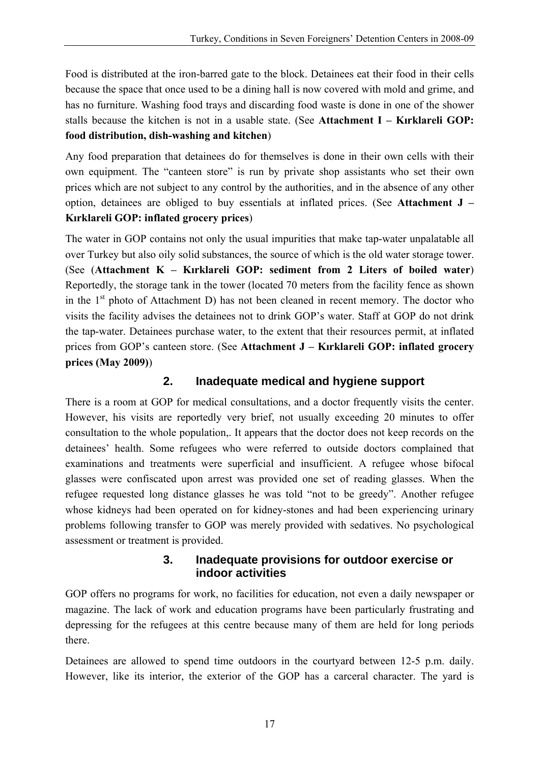<span id="page-18-0"></span>Food is distributed at the iron-barred gate to the block. Detainees eat their food in their cells because the space that once used to be a dining hall is now covered with mold and grime, and has no furniture. Washing food trays and discarding food waste is done in one of the shower stalls because the kitchen is not in a usable state. (See **Attachment I – Kırklareli GOP: food distribution, dish-washing and kitchen**)

Any food preparation that detainees do for themselves is done in their own cells with their own equipment. The "canteen store" is run by private shop assistants who set their own prices which are not subject to any control by the authorities, and in the absence of any other option, detainees are obliged to buy essentials at inflated prices. (See **Attachment J – Kırklareli GOP: inflated grocery prices**)

The water in GOP contains not only the usual impurities that make tap-water unpalatable all over Turkey but also oily solid substances, the source of which is the old water storage tower. (See (**Attachment K – Kırklareli GOP: sediment from 2 Liters of boiled water**) Reportedly, the storage tank in the tower (located 70 meters from the facility fence as shown in the  $1<sup>st</sup>$  photo of Attachment D) has not been cleaned in recent memory. The doctor who visits the facility advises the detainees not to drink GOP's water. Staff at GOP do not drink the tap-water. Detainees purchase water, to the extent that their resources permit, at inflated prices from GOP's canteen store. (See **Attachment J – Kırklareli GOP: inflated grocery prices (May 2009)**)

#### **2. Inadequate medical and hygiene support**

There is a room at GOP for medical consultations, and a doctor frequently visits the center. However, his visits are reportedly very brief, not usually exceeding 20 minutes to offer consultation to the whole population,. It appears that the doctor does not keep records on the detainees' health. Some refugees who were referred to outside doctors complained that examinations and treatments were superficial and insufficient. A refugee whose bifocal glasses were confiscated upon arrest was provided one set of reading glasses. When the refugee requested long distance glasses he was told "not to be greedy". Another refugee whose kidneys had been operated on for kidney-stones and had been experiencing urinary problems following transfer to GOP was merely provided with sedatives. No psychological assessment or treatment is provided.

#### **3. Inadequate provisions for outdoor exercise or indoor activities**

GOP offers no programs for work, no facilities for education, not even a daily newspaper or magazine. The lack of work and education programs have been particularly frustrating and depressing for the refugees at this centre because many of them are held for long periods there.

Detainees are allowed to spend time outdoors in the courtyard between 12-5 p.m. daily. However, like its interior, the exterior of the GOP has a carceral character. The yard is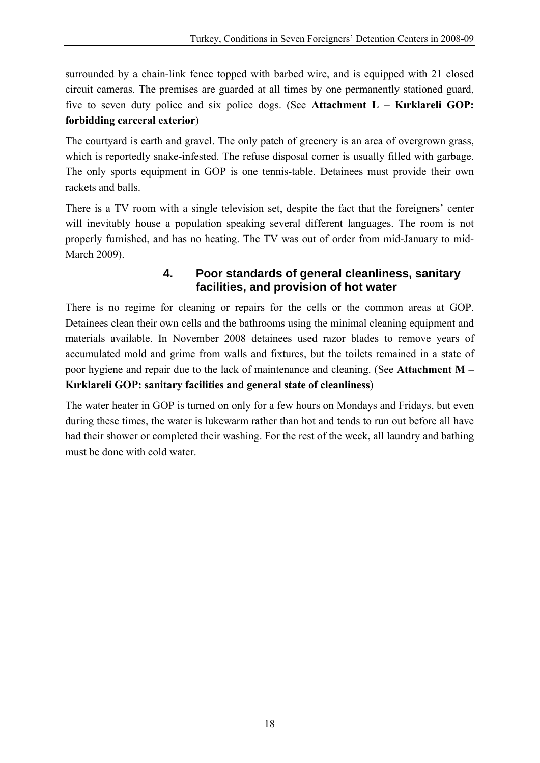<span id="page-19-0"></span>surrounded by a chain-link fence topped with barbed wire, and is equipped with 21 closed circuit cameras. The premises are guarded at all times by one permanently stationed guard, five to seven duty police and six police dogs. (See **Attachment L – Kırklareli GOP: forbidding carceral exterior**)

The courtyard is earth and gravel. The only patch of greenery is an area of overgrown grass, which is reportedly snake-infested. The refuse disposal corner is usually filled with garbage. The only sports equipment in GOP is one tennis-table. Detainees must provide their own rackets and balls.

There is a TV room with a single television set, despite the fact that the foreigners' center will inevitably house a population speaking several different languages. The room is not properly furnished, and has no heating. The TV was out of order from mid-January to mid-March 2009).

#### **4. Poor standards of general cleanliness, sanitary facilities, and provision of hot water**

There is no regime for cleaning or repairs for the cells or the common areas at GOP. Detainees clean their own cells and the bathrooms using the minimal cleaning equipment and materials available. In November 2008 detainees used razor blades to remove years of accumulated mold and grime from walls and fixtures, but the toilets remained in a state of poor hygiene and repair due to the lack of maintenance and cleaning. (See **Attachment M – Kırklareli GOP: sanitary facilities and general state of cleanliness**)

The water heater in GOP is turned on only for a few hours on Mondays and Fridays, but even during these times, the water is lukewarm rather than hot and tends to run out before all have had their shower or completed their washing. For the rest of the week, all laundry and bathing must be done with cold water.